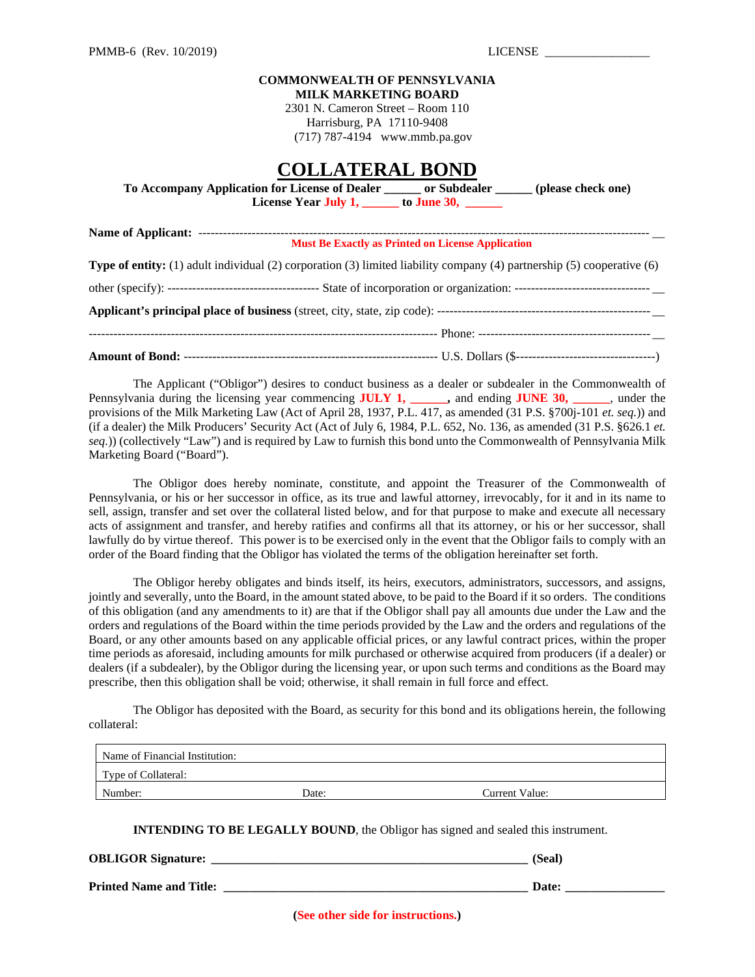#### **COMMONWEALTH OF PENNSYLVANIA MILK MARKETING BOARD**

2301 N. Cameron Street – Room 110 Harrisburg, PA 17110-9408 (717) 787-4194 www.mmb.pa.gov

# **COLLATERAL BOND**

| To Accompany Application for License of Dealer | or Subdealer | (please check one) |
|------------------------------------------------|--------------|--------------------|
| License Year July 1,                           | to June 30,  |                    |

| <b>Must Be Exactly as Printed on License Application</b> |                                                                                                                               |  |
|----------------------------------------------------------|-------------------------------------------------------------------------------------------------------------------------------|--|
|                                                          | <b>Type of entity:</b> (1) adult individual (2) corporation (3) limited liability company (4) partnership (5) cooperative (6) |  |
|                                                          |                                                                                                                               |  |
|                                                          |                                                                                                                               |  |
|                                                          |                                                                                                                               |  |
|                                                          |                                                                                                                               |  |

The Applicant ("Obligor") desires to conduct business as a dealer or subdealer in the Commonwealth of Pennsylvania during the licensing year commencing **JULY 1, \_\_\_\_\_\_,** and ending **JUNE 30, \_\_\_\_\_\_**, under the provisions of the Milk Marketing Law (Act of April 28, 1937, P.L. 417, as amended (31 P.S. §700j-101 *et. seq.*)) and (if a dealer) the Milk Producers' Security Act (Act of July 6, 1984, P.L. 652, No. 136, as amended (31 P.S. §626.1 *et. seq.*)) (collectively "Law") and is required by Law to furnish this bond unto the Commonwealth of Pennsylvania Milk Marketing Board ("Board").

The Obligor does hereby nominate, constitute, and appoint the Treasurer of the Commonwealth of Pennsylvania, or his or her successor in office, as its true and lawful attorney, irrevocably, for it and in its name to sell, assign, transfer and set over the collateral listed below, and for that purpose to make and execute all necessary acts of assignment and transfer, and hereby ratifies and confirms all that its attorney, or his or her successor, shall lawfully do by virtue thereof. This power is to be exercised only in the event that the Obligor fails to comply with an order of the Board finding that the Obligor has violated the terms of the obligation hereinafter set forth.

The Obligor hereby obligates and binds itself, its heirs, executors, administrators, successors, and assigns, jointly and severally, unto the Board, in the amount stated above, to be paid to the Board if it so orders. The conditions of this obligation (and any amendments to it) are that if the Obligor shall pay all amounts due under the Law and the orders and regulations of the Board within the time periods provided by the Law and the orders and regulations of the Board, or any other amounts based on any applicable official prices, or any lawful contract prices, within the proper time periods as aforesaid, including amounts for milk purchased or otherwise acquired from producers (if a dealer) or dealers (if a subdealer), by the Obligor during the licensing year, or upon such terms and conditions as the Board may prescribe, then this obligation shall be void; otherwise, it shall remain in full force and effect.

The Obligor has deposited with the Board, as security for this bond and its obligations herein, the following collateral:

| Name of Financial Institution: |       |                |  |  |
|--------------------------------|-------|----------------|--|--|
| Type of Collateral:            |       |                |  |  |
| Number:                        | Date: | Current Value: |  |  |

**INTENDING TO BE LEGALLY BOUND**, the Obligor has signed and sealed this instrument.

**OBLIGOR Signature: \_\_\_\_\_\_\_\_\_\_\_\_\_\_\_\_\_\_\_\_\_\_\_\_\_\_\_\_\_\_\_\_\_\_\_\_\_\_\_\_\_\_\_\_\_\_\_\_\_\_\_ (Seal)** 

**Printed Name and Title: \_\_\_\_\_\_\_\_\_\_\_\_\_\_\_\_\_\_\_\_\_\_\_\_\_\_\_\_\_\_\_\_\_\_\_\_\_\_\_\_\_\_\_\_\_\_\_\_\_ Date: \_\_\_\_\_\_\_\_\_\_\_\_\_\_\_\_**

**(See other side for instructions.)**